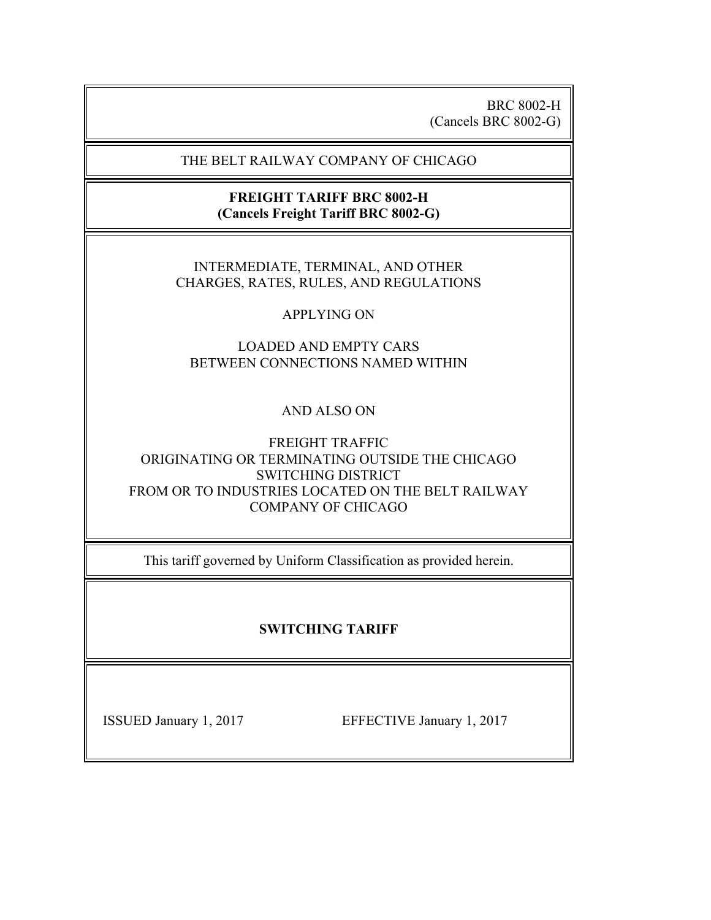BRC 8002-H (Cancels BRC 8002-G)

#### THE BELT RAILWAY COMPANY OF CHICAGO

### **FREIGHT TARIFF BRC 8002-H (Cancels Freight Tariff BRC 8002-G)**

#### INTERMEDIATE, TERMINAL, AND OTHER CHARGES, RATES, RULES, AND REGULATIONS

## APPLYING ON

# LOADED AND EMPTY CARS BETWEEN CONNECTIONS NAMED WITHIN

# AND ALSO ON

### FREIGHT TRAFFIC ORIGINATING OR TERMINATING OUTSIDE THE CHICAGO SWITCHING DISTRICT FROM OR TO INDUSTRIES LOCATED ON THE BELT RAILWAY COMPANY OF CHICAGO

This tariff governed by Uniform Classification as provided herein.

# **SWITCHING TARIFF**

ISSUED January 1, 2017 EFFECTIVE January 1, 2017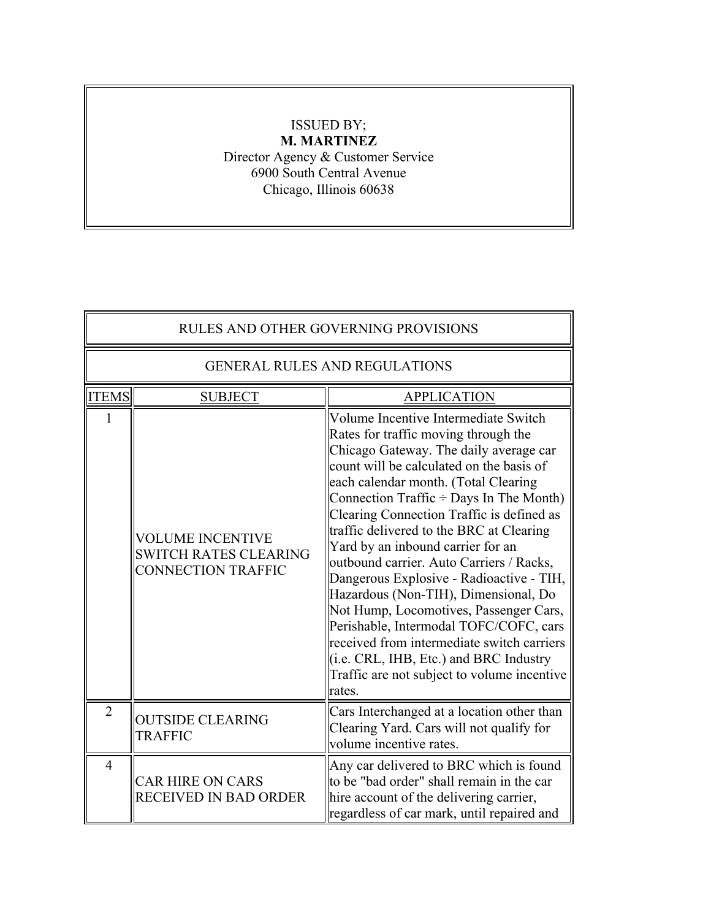# ISSUED BY; **M. MARTINEZ**

Director Agency & Customer Service 6900 South Central Avenue Chicago, Illinois 60638

| <b>RULES AND OTHER GOVERNING PROVISIONS</b> |                                                                                      |                                                                                                                                                                                                                                                                                                                                                                                                                                                                                                                                                                                                                                                                                                                                                                 |  |
|---------------------------------------------|--------------------------------------------------------------------------------------|-----------------------------------------------------------------------------------------------------------------------------------------------------------------------------------------------------------------------------------------------------------------------------------------------------------------------------------------------------------------------------------------------------------------------------------------------------------------------------------------------------------------------------------------------------------------------------------------------------------------------------------------------------------------------------------------------------------------------------------------------------------------|--|
|                                             | <b>GENERAL RULES AND REGULATIONS</b>                                                 |                                                                                                                                                                                                                                                                                                                                                                                                                                                                                                                                                                                                                                                                                                                                                                 |  |
| <b>ITEMS</b>                                | <b>SUBJECT</b>                                                                       | <b>APPLICATION</b>                                                                                                                                                                                                                                                                                                                                                                                                                                                                                                                                                                                                                                                                                                                                              |  |
|                                             | <b>VOLUME INCENTIVE</b><br><b>SWITCH RATES CLEARING</b><br><b>CONNECTION TRAFFIC</b> | Volume Incentive Intermediate Switch<br>Rates for traffic moving through the<br>Chicago Gateway. The daily average car<br>count will be calculated on the basis of<br>each calendar month. (Total Clearing<br>Connection Traffic $\div$ Days In The Month)<br>Clearing Connection Traffic is defined as<br>traffic delivered to the BRC at Clearing<br>Yard by an inbound carrier for an<br>outbound carrier. Auto Carriers / Racks,<br>Dangerous Explosive - Radioactive - TIH,<br>Hazardous (Non-TIH), Dimensional, Do<br>Not Hump, Locomotives, Passenger Cars,<br>Perishable, Intermodal TOFC/COFC, cars<br>received from intermediate switch carriers<br>$(i.e. CRL, IHB, Etc.)$ and BRC Industry<br>Traffic are not subject to volume incentive<br>rates. |  |
| $\overline{2}$                              | <b>OUTSIDE CLEARING</b><br><b>TRAFFIC</b>                                            | Cars Interchanged at a location other than<br>Clearing Yard. Cars will not qualify for<br>volume incentive rates.                                                                                                                                                                                                                                                                                                                                                                                                                                                                                                                                                                                                                                               |  |
| $\overline{4}$                              | <b>CAR HIRE ON CARS</b><br>RECEIVED IN BAD ORDER                                     | Any car delivered to BRC which is found<br>to be "bad order" shall remain in the car<br>hire account of the delivering carrier,<br>regardless of car mark, until repaired and                                                                                                                                                                                                                                                                                                                                                                                                                                                                                                                                                                                   |  |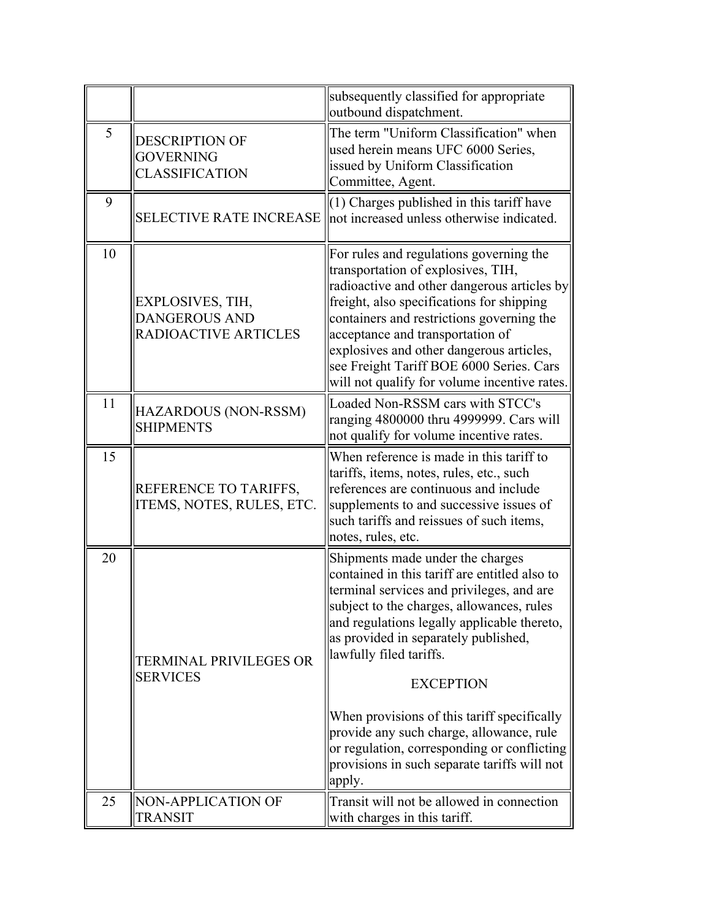|    |                                                                    | subsequently classified for appropriate<br>outbound dispatchment.                                                                                                                                                                                                                                                                                                                                                                                                                                                     |
|----|--------------------------------------------------------------------|-----------------------------------------------------------------------------------------------------------------------------------------------------------------------------------------------------------------------------------------------------------------------------------------------------------------------------------------------------------------------------------------------------------------------------------------------------------------------------------------------------------------------|
| 5  | <b>DESCRIPTION OF</b><br><b>GOVERNING</b><br><b>CLASSIFICATION</b> | The term "Uniform Classification" when<br>used herein means UFC 6000 Series,<br>issued by Uniform Classification<br>Committee, Agent.                                                                                                                                                                                                                                                                                                                                                                                 |
| 9  | <b>SELECTIVE RATE INCREASE</b>                                     | $(1)$ Charges published in this tariff have<br>not increased unless otherwise indicated.                                                                                                                                                                                                                                                                                                                                                                                                                              |
| 10 | EXPLOSIVES, TIH,<br><b>DANGEROUS AND</b><br>RADIOACTIVE ARTICLES   | For rules and regulations governing the<br>transportation of explosives, TIH,<br>radioactive and other dangerous articles by<br>freight, also specifications for shipping<br>containers and restrictions governing the<br>acceptance and transportation of<br>explosives and other dangerous articles,<br>see Freight Tariff BOE 6000 Series. Cars<br>will not qualify for volume incentive rates.                                                                                                                    |
| 11 | HAZARDOUS (NON-RSSM)<br><b>SHIPMENTS</b>                           | Loaded Non-RSSM cars with STCC's<br>ranging 4800000 thru 4999999. Cars will<br>not qualify for volume incentive rates.                                                                                                                                                                                                                                                                                                                                                                                                |
| 15 | REFERENCE TO TARIFFS,<br>ITEMS, NOTES, RULES, ETC.                 | When reference is made in this tariff to<br>tariffs, items, notes, rules, etc., such<br>references are continuous and include<br>supplements to and successive issues of<br>such tariffs and reissues of such items,<br>notes, rules, etc.                                                                                                                                                                                                                                                                            |
| 20 | TERMINAL PRIVILEGES OR<br><b>SERVICES</b>                          | Shipments made under the charges<br>contained in this tariff are entitled also to<br>terminal services and privileges, and are<br>subject to the charges, allowances, rules<br>and regulations legally applicable thereto,<br>as provided in separately published,<br>lawfully filed tariffs.<br><b>EXCEPTION</b><br>When provisions of this tariff specifically<br>provide any such charge, allowance, rule<br>or regulation, corresponding or conflicting<br>provisions in such separate tariffs will not<br>apply. |
| 25 | NON-APPLICATION OF<br>TRANSIT                                      | Transit will not be allowed in connection<br>with charges in this tariff.                                                                                                                                                                                                                                                                                                                                                                                                                                             |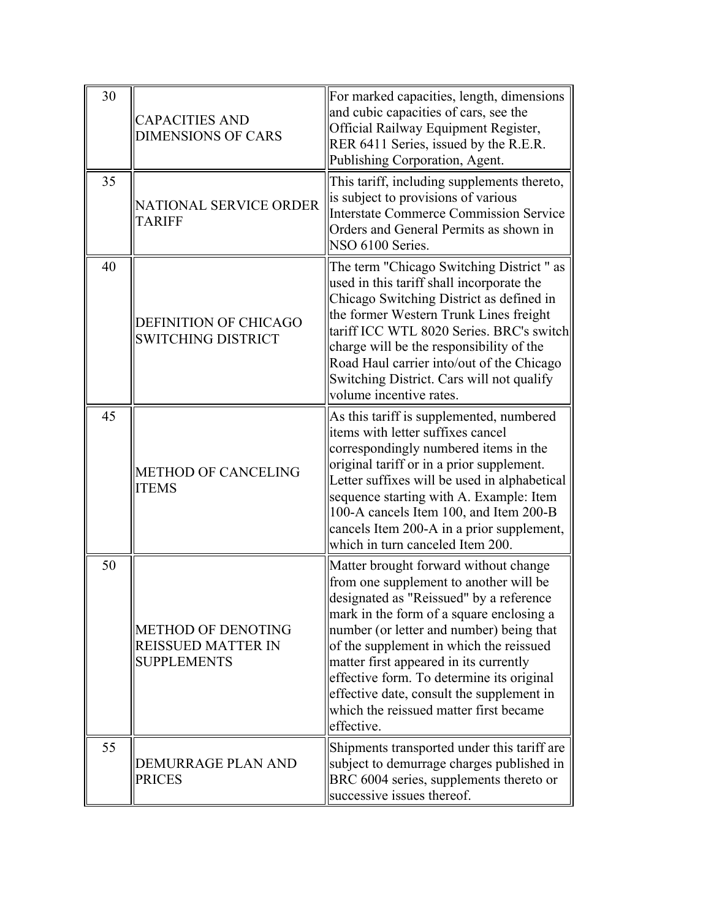| 30 | <b>CAPACITIES AND</b><br><b>DIMENSIONS OF CARS</b>                           | For marked capacities, length, dimensions<br>and cubic capacities of cars, see the<br>Official Railway Equipment Register,<br>RER 6411 Series, issued by the R.E.R.<br>Publishing Corporation, Agent.                                                                                                                                                                                                                                                     |
|----|------------------------------------------------------------------------------|-----------------------------------------------------------------------------------------------------------------------------------------------------------------------------------------------------------------------------------------------------------------------------------------------------------------------------------------------------------------------------------------------------------------------------------------------------------|
| 35 | NATIONAL SERVICE ORDER<br><b>TARIFF</b>                                      | This tariff, including supplements thereto,<br>is subject to provisions of various<br>Interstate Commerce Commission Service<br>Orders and General Permits as shown in<br>NSO 6100 Series.                                                                                                                                                                                                                                                                |
| 40 | DEFINITION OF CHICAGO<br><b>SWITCHING DISTRICT</b>                           | The term "Chicago Switching District" as<br>used in this tariff shall incorporate the<br>Chicago Switching District as defined in<br>the former Western Trunk Lines freight<br>tariff ICC WTL 8020 Series. BRC's switch<br>charge will be the responsibility of the<br>Road Haul carrier into/out of the Chicago<br>Switching District. Cars will not qualify<br>volume incentive rates.                                                                  |
| 45 | <b>METHOD OF CANCELING</b><br><b>ITEMS</b>                                   | As this tariff is supplemented, numbered<br>items with letter suffixes cancel<br>correspondingly numbered items in the<br>original tariff or in a prior supplement.<br>Letter suffixes will be used in alphabetical<br>sequence starting with A. Example: Item<br>100-A cancels Item 100, and Item 200-B<br>cancels Item 200-A in a prior supplement,<br>which in turn canceled Item 200.                                                                 |
| 50 | <b>METHOD OF DENOTING</b><br><b>REISSUED MATTER IN</b><br><b>SUPPLEMENTS</b> | Matter brought forward without change<br>from one supplement to another will be<br>designated as "Reissued" by a reference<br>mark in the form of a square enclosing a<br>number (or letter and number) being that<br>of the supplement in which the reissued<br>matter first appeared in its currently<br>effective form. To determine its original<br>effective date, consult the supplement in<br>which the reissued matter first became<br>effective. |
| 55 | DEMURRAGE PLAN AND<br><b>PRICES</b>                                          | Shipments transported under this tariff are<br>subject to demurrage charges published in<br>BRC 6004 series, supplements thereto or<br>successive issues thereof.                                                                                                                                                                                                                                                                                         |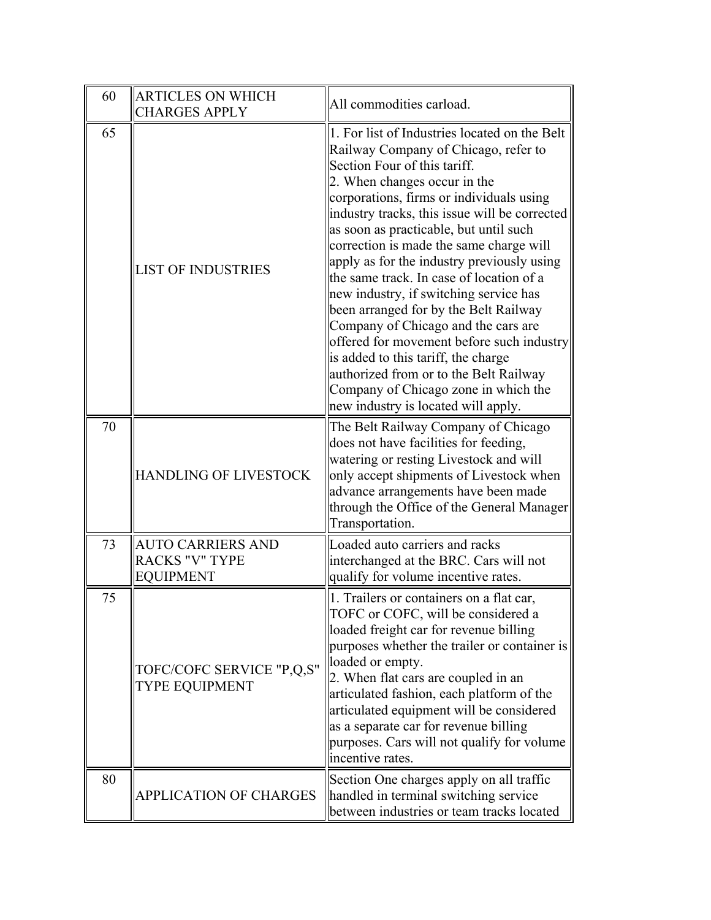| 60 | <b>ARTICLES ON WHICH</b><br><b>CHARGES APPLY</b>                      | All commodities carload.                                                                                                                                                                                                                                                                                                                                                                                                                                                                                                                                                                                                                                                                                                                                                 |
|----|-----------------------------------------------------------------------|--------------------------------------------------------------------------------------------------------------------------------------------------------------------------------------------------------------------------------------------------------------------------------------------------------------------------------------------------------------------------------------------------------------------------------------------------------------------------------------------------------------------------------------------------------------------------------------------------------------------------------------------------------------------------------------------------------------------------------------------------------------------------|
| 65 | <b>LIST OF INDUSTRIES</b>                                             | 1. For list of Industries located on the Belt<br>Railway Company of Chicago, refer to<br>Section Four of this tariff.<br>2. When changes occur in the<br>corporations, firms or individuals using<br>industry tracks, this issue will be corrected<br>as soon as practicable, but until such<br>correction is made the same charge will<br>apply as for the industry previously using<br>the same track. In case of location of a<br>new industry, if switching service has<br>been arranged for by the Belt Railway<br>Company of Chicago and the cars are<br>offered for movement before such industry<br>is added to this tariff, the charge<br>authorized from or to the Belt Railway<br>Company of Chicago zone in which the<br>new industry is located will apply. |
| 70 | <b>HANDLING OF LIVESTOCK</b>                                          | The Belt Railway Company of Chicago<br>does not have facilities for feeding,<br>watering or resting Livestock and will<br>only accept shipments of Livestock when<br>advance arrangements have been made<br>through the Office of the General Manager<br>Transportation.                                                                                                                                                                                                                                                                                                                                                                                                                                                                                                 |
| 73 | <b>AUTO CARRIERS AND</b><br><b>RACKS "V" TYPE</b><br><b>EQUIPMENT</b> | Loaded auto carriers and racks<br>interchanged at the BRC. Cars will not<br>qualify for volume incentive rates.                                                                                                                                                                                                                                                                                                                                                                                                                                                                                                                                                                                                                                                          |
| 75 | TOFC/COFC SERVICE "P,Q,S"<br><b>TYPE EQUIPMENT</b>                    | 1. Trailers or containers on a flat car,<br>TOFC or COFC, will be considered a<br>loaded freight car for revenue billing<br>purposes whether the trailer or container is<br>loaded or empty.<br>2. When flat cars are coupled in an<br>articulated fashion, each platform of the<br>articulated equipment will be considered<br>as a separate car for revenue billing<br>purposes. Cars will not qualify for volume<br>incentive rates.                                                                                                                                                                                                                                                                                                                                  |
| 80 | APPLICATION OF CHARGES                                                | Section One charges apply on all traffic<br>handled in terminal switching service<br>between industries or team tracks located                                                                                                                                                                                                                                                                                                                                                                                                                                                                                                                                                                                                                                           |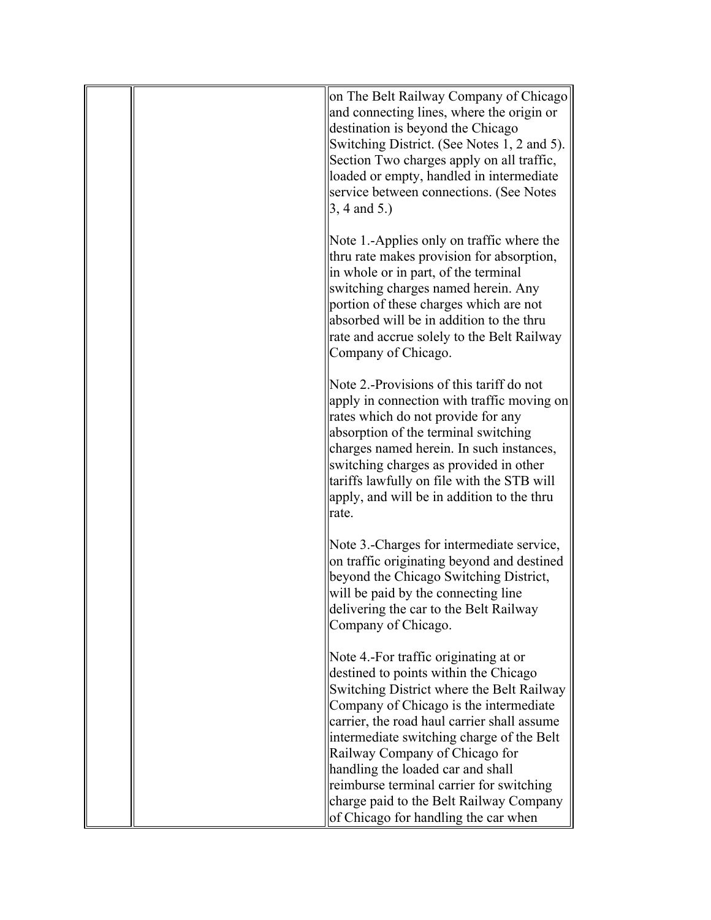|  | on The Belt Railway Company of Chicago<br>and connecting lines, where the origin or<br>destination is beyond the Chicago<br>Switching District. (See Notes 1, 2 and 5).<br>Section Two charges apply on all traffic,<br>loaded or empty, handled in intermediate<br>service between connections. (See Notes<br>$3, 4$ and $5.$ )                                                                                                                                        |
|--|-------------------------------------------------------------------------------------------------------------------------------------------------------------------------------------------------------------------------------------------------------------------------------------------------------------------------------------------------------------------------------------------------------------------------------------------------------------------------|
|  | Note 1.-Applies only on traffic where the<br>thru rate makes provision for absorption,<br>in whole or in part, of the terminal<br>switching charges named herein. Any<br>portion of these charges which are not<br>absorbed will be in addition to the thru<br>rate and accrue solely to the Belt Railway<br>Company of Chicago.                                                                                                                                        |
|  | Note 2.-Provisions of this tariff do not<br>apply in connection with traffic moving on<br>rates which do not provide for any<br>absorption of the terminal switching<br>charges named herein. In such instances,<br>switching charges as provided in other<br>tariffs lawfully on file with the STB will<br>apply, and will be in addition to the thru<br>rate.                                                                                                         |
|  | Note 3.-Charges for intermediate service,<br>on traffic originating beyond and destined<br>beyond the Chicago Switching District,<br>will be paid by the connecting line<br>delivering the car to the Belt Railway<br>Company of Chicago.                                                                                                                                                                                                                               |
|  | Note 4.-For traffic originating at or<br>destined to points within the Chicago<br>Switching District where the Belt Railway<br>Company of Chicago is the intermediate<br>carrier, the road haul carrier shall assume<br>intermediate switching charge of the Belt<br>Railway Company of Chicago for<br>handling the loaded car and shall<br>reimburse terminal carrier for switching<br>charge paid to the Belt Railway Company<br>of Chicago for handling the car when |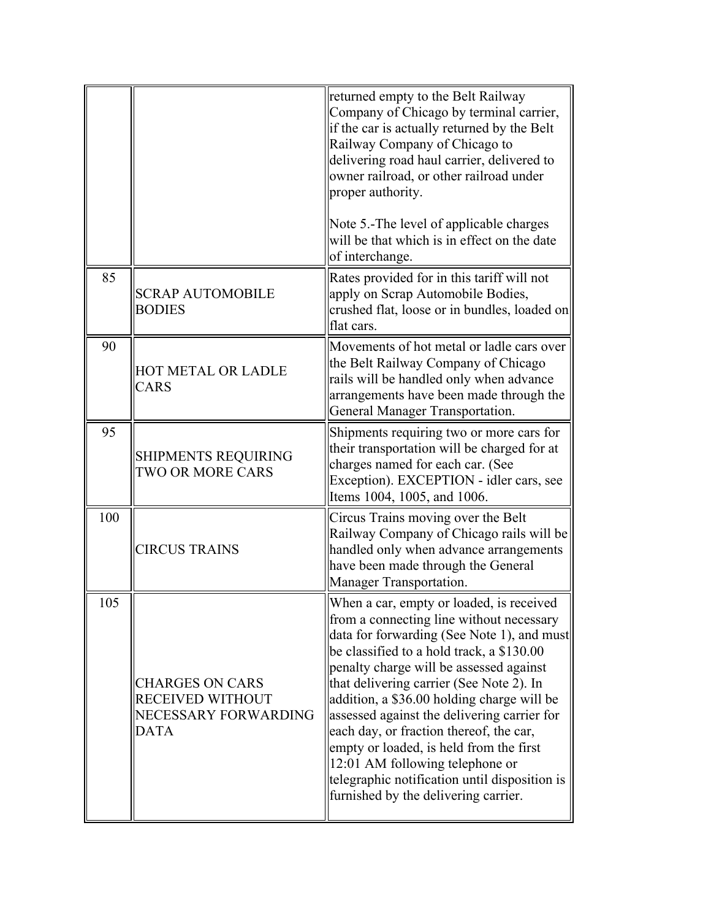|     |                                                                                          | returned empty to the Belt Railway<br>Company of Chicago by terminal carrier,<br>if the car is actually returned by the Belt<br>Railway Company of Chicago to<br>delivering road haul carrier, delivered to<br>owner railroad, or other railroad under<br>proper authority.<br>Note 5.-The level of applicable charges<br>will be that which is in effect on the date<br>of interchange.                                                                                                                                                                                              |
|-----|------------------------------------------------------------------------------------------|---------------------------------------------------------------------------------------------------------------------------------------------------------------------------------------------------------------------------------------------------------------------------------------------------------------------------------------------------------------------------------------------------------------------------------------------------------------------------------------------------------------------------------------------------------------------------------------|
| 85  | <b>SCRAP AUTOMOBILE</b><br><b>BODIES</b>                                                 | Rates provided for in this tariff will not<br>apply on Scrap Automobile Bodies,<br>crushed flat, loose or in bundles, loaded on<br>flat cars.                                                                                                                                                                                                                                                                                                                                                                                                                                         |
| 90  | HOT METAL OR LADLE<br><b>CARS</b>                                                        | Movements of hot metal or ladle cars over<br>the Belt Railway Company of Chicago<br>rails will be handled only when advance<br>arrangements have been made through the<br>General Manager Transportation.                                                                                                                                                                                                                                                                                                                                                                             |
| 95  | <b>SHIPMENTS REQUIRING</b><br><b>TWO OR MORE CARS</b>                                    | Shipments requiring two or more cars for<br>their transportation will be charged for at<br>charges named for each car. (See<br>Exception). EXCEPTION - idler cars, see<br>Items 1004, 1005, and 1006.                                                                                                                                                                                                                                                                                                                                                                                 |
| 100 | <b>CIRCUS TRAINS</b>                                                                     | Circus Trains moving over the Belt<br>Railway Company of Chicago rails will be<br>handled only when advance arrangements<br>have been made through the General<br>Manager Transportation.                                                                                                                                                                                                                                                                                                                                                                                             |
| 105 | <b>CHARGES ON CARS</b><br><b>RECEIVED WITHOUT</b><br>NECESSARY FORWARDING<br><b>DATA</b> | When a car, empty or loaded, is received<br>from a connecting line without necessary<br>data for forwarding (See Note 1), and must<br>be classified to a hold track, a \$130.00<br>penalty charge will be assessed against<br>that delivering carrier (See Note 2). In<br>addition, a \$36.00 holding charge will be<br>assessed against the delivering carrier for<br>each day, or fraction thereof, the car,<br>empty or loaded, is held from the first<br>12:01 AM following telephone or<br>telegraphic notification until disposition is<br>furnished by the delivering carrier. |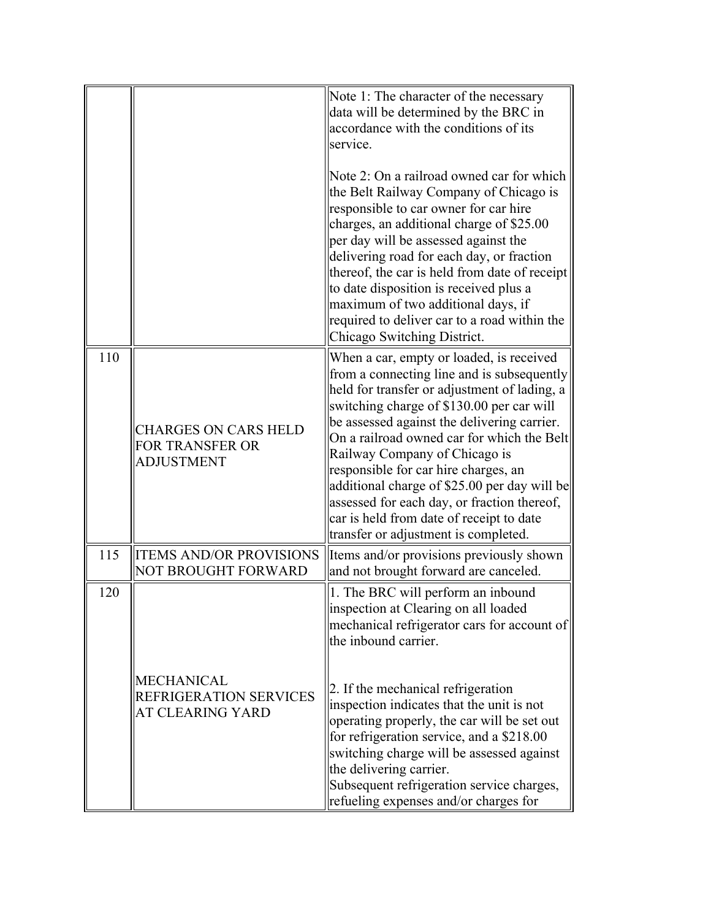|     |                                                                     | Note 1: The character of the necessary<br>data will be determined by the BRC in<br>accordance with the conditions of its<br>service.                                                                                                                                                                                                                                                                                                                                                                                                         |
|-----|---------------------------------------------------------------------|----------------------------------------------------------------------------------------------------------------------------------------------------------------------------------------------------------------------------------------------------------------------------------------------------------------------------------------------------------------------------------------------------------------------------------------------------------------------------------------------------------------------------------------------|
|     |                                                                     | Note 2: On a railroad owned car for which<br>the Belt Railway Company of Chicago is<br>responsible to car owner for car hire<br>charges, an additional charge of \$25.00<br>per day will be assessed against the<br>delivering road for each day, or fraction<br>thereof, the car is held from date of receipt<br>to date disposition is received plus a<br>maximum of two additional days, if<br>required to deliver car to a road within the<br>Chicago Switching District.                                                                |
| 110 | <b>CHARGES ON CARS HELD</b><br>FOR TRANSFER OR<br><b>ADJUSTMENT</b> | When a car, empty or loaded, is received<br>from a connecting line and is subsequently<br>held for transfer or adjustment of lading, a<br>switching charge of \$130.00 per car will<br>be assessed against the delivering carrier.<br>On a railroad owned car for which the Belt<br>Railway Company of Chicago is<br>responsible for car hire charges, an<br>additional charge of \$25.00 per day will be<br>assessed for each day, or fraction thereof,<br>car is held from date of receipt to date<br>transfer or adjustment is completed. |
| 115 | <b>ITEMS AND/OR PROVISIONS</b><br><b>NOT BROUGHT FORWARD</b>        | Items and/or provisions previously shown<br>and not brought forward are canceled.                                                                                                                                                                                                                                                                                                                                                                                                                                                            |
| 120 |                                                                     | 1. The BRC will perform an inbound<br>inspection at Clearing on all loaded<br>mechanical refrigerator cars for account of<br>the inbound carrier.                                                                                                                                                                                                                                                                                                                                                                                            |
|     | <b>MECHANICAL</b><br>REFRIGERATION SERVICES<br>AT CLEARING YARD     | 2. If the mechanical refrigeration<br>inspection indicates that the unit is not<br>operating properly, the car will be set out<br>for refrigeration service, and a \$218.00<br>switching charge will be assessed against<br>the delivering carrier.<br>Subsequent refrigeration service charges,<br>refueling expenses and/or charges for                                                                                                                                                                                                    |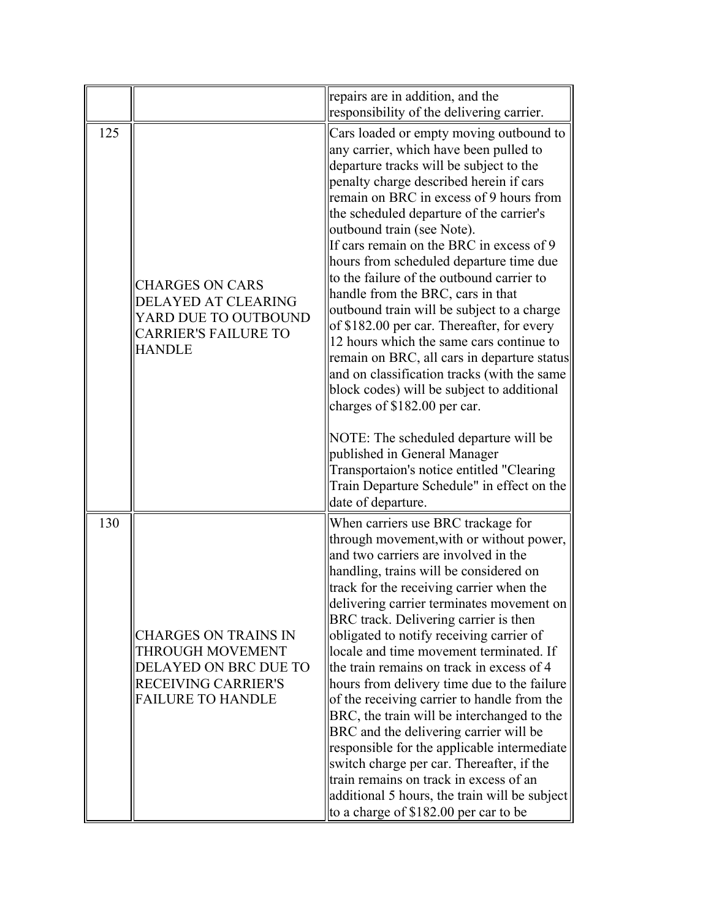|     |                                                                                                                                    | repairs are in addition, and the<br>responsibility of the delivering carrier.                                                                                                                                                                                                                                                                                                                                                                                                                                                                                                                                                                                                                                                                                                                                                                                                                                                                                                       |
|-----|------------------------------------------------------------------------------------------------------------------------------------|-------------------------------------------------------------------------------------------------------------------------------------------------------------------------------------------------------------------------------------------------------------------------------------------------------------------------------------------------------------------------------------------------------------------------------------------------------------------------------------------------------------------------------------------------------------------------------------------------------------------------------------------------------------------------------------------------------------------------------------------------------------------------------------------------------------------------------------------------------------------------------------------------------------------------------------------------------------------------------------|
| 125 | <b>CHARGES ON CARS</b><br>DELAYED AT CLEARING<br>YARD DUE TO OUTBOUND<br><b>CARRIER'S FAILURE TO</b><br><b>HANDLE</b>              | Cars loaded or empty moving outbound to<br>any carrier, which have been pulled to<br>departure tracks will be subject to the<br>penalty charge described herein if cars<br>remain on BRC in excess of 9 hours from<br>the scheduled departure of the carrier's<br>outbound train (see Note).<br>If cars remain on the BRC in excess of 9<br>hours from scheduled departure time due<br>to the failure of the outbound carrier to<br>handle from the BRC, cars in that<br>outbound train will be subject to a charge<br>of \$182.00 per car. Thereafter, for every<br>12 hours which the same cars continue to<br>remain on BRC, all cars in departure status<br>and on classification tracks (with the same<br>block codes) will be subject to additional<br>charges of \$182.00 per car.<br>NOTE: The scheduled departure will be<br>published in General Manager<br>Transportaion's notice entitled "Clearing<br>Train Departure Schedule" in effect on the<br>date of departure. |
| 130 | <b>CHARGES ON TRAINS IN</b><br>THROUGH MOVEMENT<br>DELAYED ON BRC DUE TO<br><b>RECEIVING CARRIER'S</b><br><b>FAILURE TO HANDLE</b> | When carriers use BRC trackage for<br>through movement, with or without power,<br>and two carriers are involved in the<br>handling, trains will be considered on<br>track for the receiving carrier when the<br>delivering carrier terminates movement on<br>BRC track. Delivering carrier is then<br>obligated to notify receiving carrier of<br>locale and time movement terminated. If<br>the train remains on track in excess of 4<br>hours from delivery time due to the failure<br>of the receiving carrier to handle from the<br>BRC, the train will be interchanged to the<br>BRC and the delivering carrier will be<br>responsible for the applicable intermediate<br>switch charge per car. Thereafter, if the<br>train remains on track in excess of an<br>additional 5 hours, the train will be subject<br>to a charge of \$182.00 per car to be                                                                                                                        |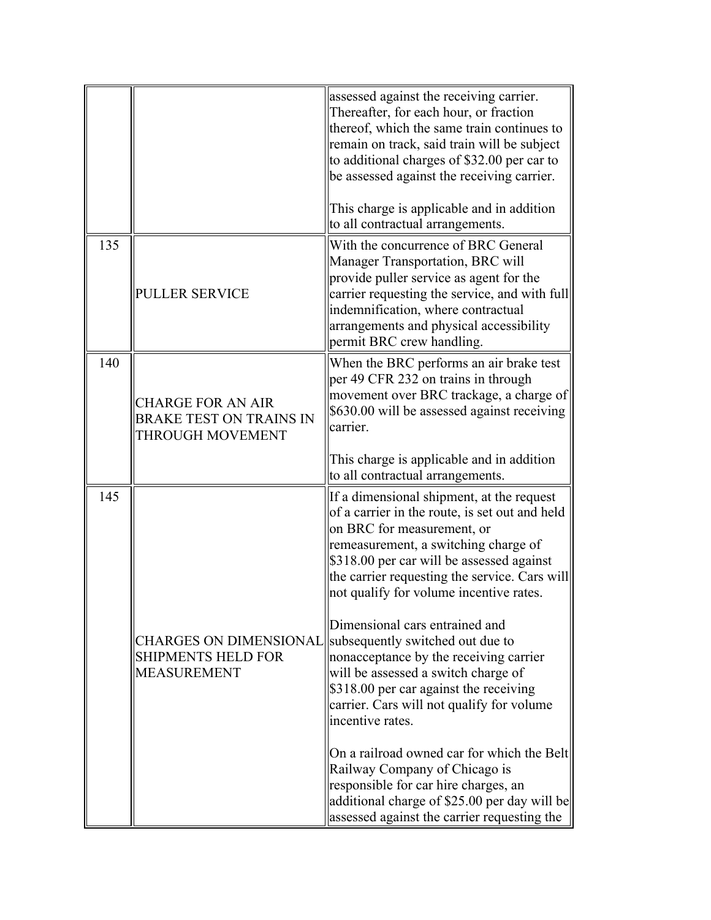|     |                                                                                  | assessed against the receiving carrier.<br>Thereafter, for each hour, or fraction<br>thereof, which the same train continues to<br>remain on track, said train will be subject<br>to additional charges of \$32.00 per car to<br>be assessed against the receiving carrier.<br>This charge is applicable and in addition<br>to all contractual arrangements.                                                                                                                                                                                                                                                                                                                                                                                                                                       |
|-----|----------------------------------------------------------------------------------|----------------------------------------------------------------------------------------------------------------------------------------------------------------------------------------------------------------------------------------------------------------------------------------------------------------------------------------------------------------------------------------------------------------------------------------------------------------------------------------------------------------------------------------------------------------------------------------------------------------------------------------------------------------------------------------------------------------------------------------------------------------------------------------------------|
| 135 | <b>PULLER SERVICE</b>                                                            | With the concurrence of BRC General<br>Manager Transportation, BRC will<br>provide puller service as agent for the<br>carrier requesting the service, and with full<br>indemnification, where contractual<br>arrangements and physical accessibility<br>permit BRC crew handling.                                                                                                                                                                                                                                                                                                                                                                                                                                                                                                                  |
| 140 | <b>CHARGE FOR AN AIR</b><br><b>BRAKE TEST ON TRAINS IN</b><br>THROUGH MOVEMENT   | When the BRC performs an air brake test<br>per 49 CFR 232 on trains in through<br>movement over BRC trackage, a charge of<br>\$630.00 will be assessed against receiving<br>carrier.<br>This charge is applicable and in addition<br>to all contractual arrangements.                                                                                                                                                                                                                                                                                                                                                                                                                                                                                                                              |
| 145 | <b>CHARGES ON DIMENSIONAL</b><br><b>SHIPMENTS HELD FOR</b><br><b>MEASUREMENT</b> | If a dimensional shipment, at the request<br>of a carrier in the route, is set out and held<br>on BRC for measurement, or<br>remeasurement, a switching charge of<br>\$318.00 per car will be assessed against<br>the carrier requesting the service. Cars will<br>not qualify for volume incentive rates.<br>Dimensional cars entrained and<br>subsequently switched out due to<br>nonacceptance by the receiving carrier<br>will be assessed a switch charge of<br>\$318.00 per car against the receiving<br>carrier. Cars will not qualify for volume<br>incentive rates.<br>On a railroad owned car for which the Belt<br>Railway Company of Chicago is<br>responsible for car hire charges, an<br>additional charge of \$25.00 per day will be<br>assessed against the carrier requesting the |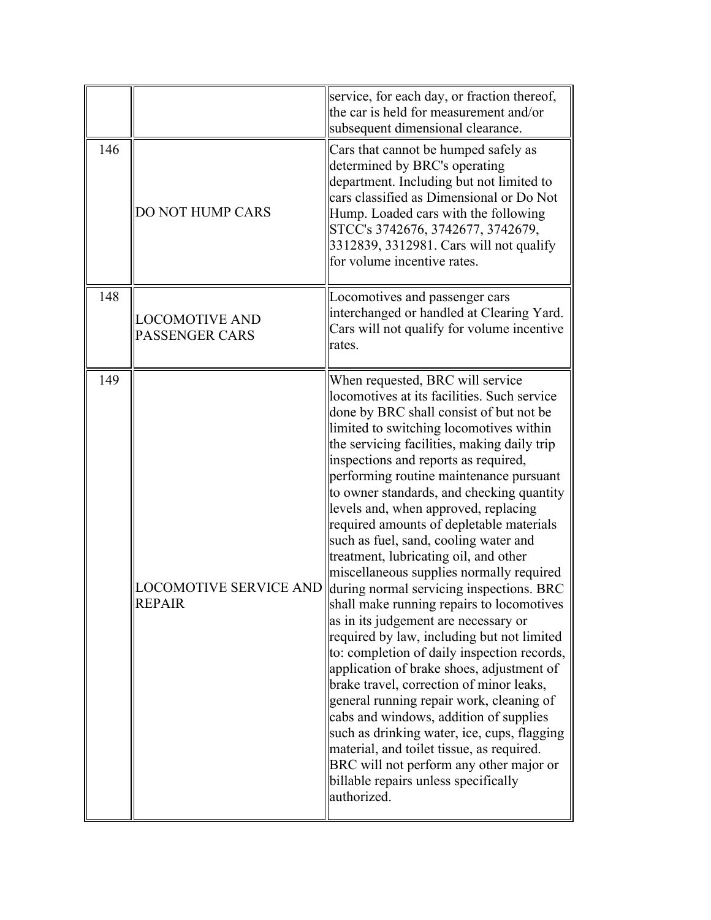|     |                                                | service, for each day, or fraction thereof,<br>the car is held for measurement and/or<br>subsequent dimensional clearance.                                                                                                                                                                                                                                                                                                                                                                                                                                                                                                                                                                                                                                                                                                                                                                                                                                                                                                                                                                                                                                                        |
|-----|------------------------------------------------|-----------------------------------------------------------------------------------------------------------------------------------------------------------------------------------------------------------------------------------------------------------------------------------------------------------------------------------------------------------------------------------------------------------------------------------------------------------------------------------------------------------------------------------------------------------------------------------------------------------------------------------------------------------------------------------------------------------------------------------------------------------------------------------------------------------------------------------------------------------------------------------------------------------------------------------------------------------------------------------------------------------------------------------------------------------------------------------------------------------------------------------------------------------------------------------|
| 146 | DO NOT HUMP CARS                               | Cars that cannot be humped safely as<br>determined by BRC's operating<br>department. Including but not limited to<br>cars classified as Dimensional or Do Not<br>Hump. Loaded cars with the following<br>STCC's 3742676, 3742677, 3742679,<br>3312839, 3312981. Cars will not qualify<br>for volume incentive rates.                                                                                                                                                                                                                                                                                                                                                                                                                                                                                                                                                                                                                                                                                                                                                                                                                                                              |
| 148 | <b>LOCOMOTIVE AND</b><br><b>PASSENGER CARS</b> | Locomotives and passenger cars<br>interchanged or handled at Clearing Yard.<br>Cars will not qualify for volume incentive<br>rates.                                                                                                                                                                                                                                                                                                                                                                                                                                                                                                                                                                                                                                                                                                                                                                                                                                                                                                                                                                                                                                               |
| 149 | <b>LOCOMOTIVE SERVICE AND</b><br><b>REPAIR</b> | When requested, BRC will service<br>locomotives at its facilities. Such service<br>done by BRC shall consist of but not be<br>limited to switching locomotives within<br>the servicing facilities, making daily trip<br>inspections and reports as required,<br>performing routine maintenance pursuant<br>to owner standards, and checking quantity<br>levels and, when approved, replacing<br>required amounts of depletable materials<br>such as fuel, sand, cooling water and<br>treatment, lubricating oil, and other<br>miscellaneous supplies normally required<br>during normal servicing inspections. BRC<br>shall make running repairs to locomotives<br>as in its judgement are necessary or<br>required by law, including but not limited<br>to: completion of daily inspection records,<br>application of brake shoes, adjustment of<br>brake travel, correction of minor leaks,<br>general running repair work, cleaning of<br>cabs and windows, addition of supplies<br>such as drinking water, ice, cups, flagging<br>material, and toilet tissue, as required.<br>BRC will not perform any other major or<br>billable repairs unless specifically<br>authorized. |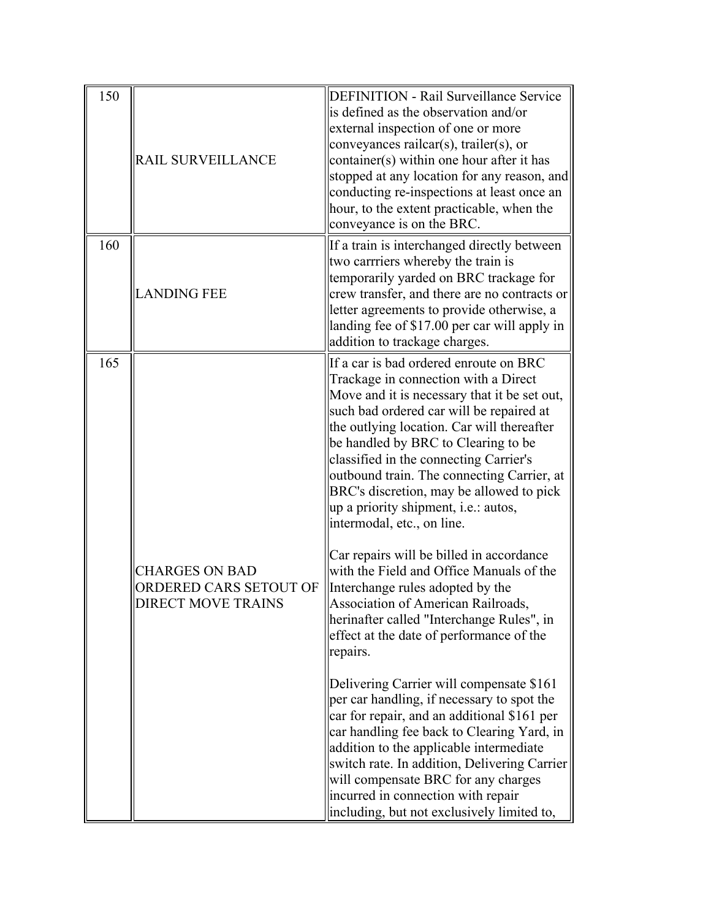| 150 | RAIL SURVEILLANCE                                                            | <b>DEFINITION - Rail Surveillance Service</b><br>is defined as the observation and/or<br>external inspection of one or more<br>conveyances railcar(s), trailer(s), or<br>container(s) within one hour after it has<br>stopped at any location for any reason, and<br>conducting re-inspections at least once an<br>hour, to the extent practicable, when the<br>conveyance is on the BRC.                                                                                                                                                                                                                                                                                                                                                                                                                                                                                                                                                                                                                                                                                                                                                                     |
|-----|------------------------------------------------------------------------------|---------------------------------------------------------------------------------------------------------------------------------------------------------------------------------------------------------------------------------------------------------------------------------------------------------------------------------------------------------------------------------------------------------------------------------------------------------------------------------------------------------------------------------------------------------------------------------------------------------------------------------------------------------------------------------------------------------------------------------------------------------------------------------------------------------------------------------------------------------------------------------------------------------------------------------------------------------------------------------------------------------------------------------------------------------------------------------------------------------------------------------------------------------------|
| 160 | <b>LANDING FEE</b>                                                           | If a train is interchanged directly between<br>two carrriers whereby the train is<br>temporarily yarded on BRC trackage for<br>crew transfer, and there are no contracts or<br>letter agreements to provide otherwise, a<br>landing fee of \$17.00 per car will apply in<br>addition to trackage charges.                                                                                                                                                                                                                                                                                                                                                                                                                                                                                                                                                                                                                                                                                                                                                                                                                                                     |
| 165 | <b>CHARGES ON BAD</b><br>ORDERED CARS SETOUT OF<br><b>DIRECT MOVE TRAINS</b> | If a car is bad ordered enroute on BRC<br>Trackage in connection with a Direct<br>Move and it is necessary that it be set out,<br>such bad ordered car will be repaired at<br>the outlying location. Car will thereafter<br>be handled by BRC to Clearing to be<br>classified in the connecting Carrier's<br>outbound train. The connecting Carrier, at<br>BRC's discretion, may be allowed to pick<br>up a priority shipment, i.e.: autos,<br>intermodal, etc., on line.<br>Car repairs will be billed in accordance<br>with the Field and Office Manuals of the<br>Interchange rules adopted by the<br>Association of American Railroads,<br>herinafter called "Interchange Rules", in<br>effect at the date of performance of the<br>repairs.<br>Delivering Carrier will compensate \$161<br>per car handling, if necessary to spot the<br>car for repair, and an additional \$161 per<br>car handling fee back to Clearing Yard, in<br>addition to the applicable intermediate<br>switch rate. In addition, Delivering Carrier<br>will compensate BRC for any charges<br>incurred in connection with repair<br>including, but not exclusively limited to, |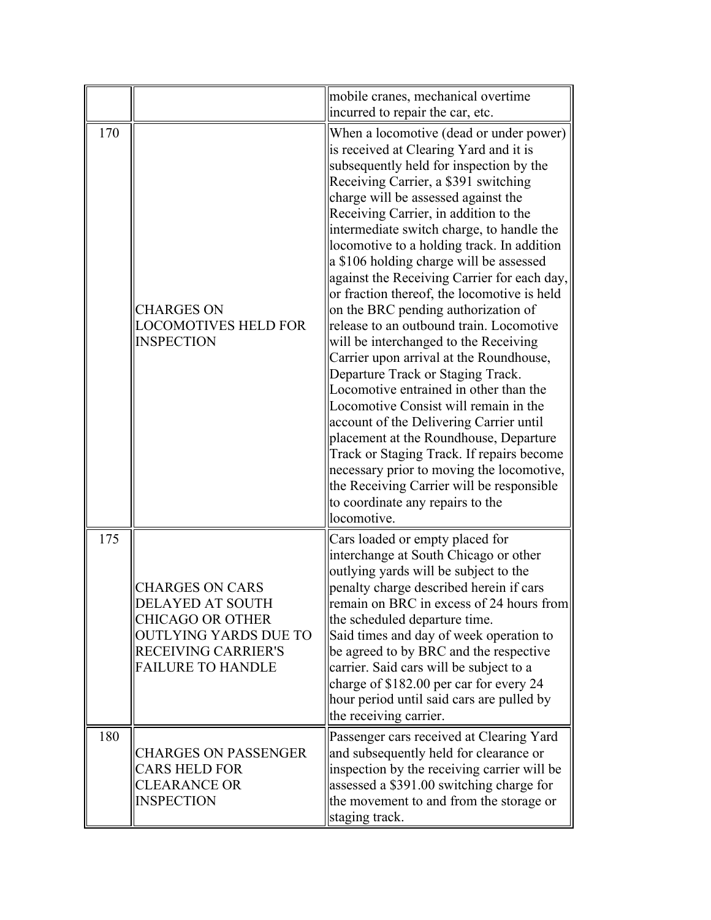|     |                                                                                                                                                          | mobile cranes, mechanical overtime<br>incurred to repair the car, etc.                                                                                                                                                                                                                                                                                                                                                                                                                                                                                                                                                                                                                                                                                                                                                                                                                                                                                                                                                                                                 |
|-----|----------------------------------------------------------------------------------------------------------------------------------------------------------|------------------------------------------------------------------------------------------------------------------------------------------------------------------------------------------------------------------------------------------------------------------------------------------------------------------------------------------------------------------------------------------------------------------------------------------------------------------------------------------------------------------------------------------------------------------------------------------------------------------------------------------------------------------------------------------------------------------------------------------------------------------------------------------------------------------------------------------------------------------------------------------------------------------------------------------------------------------------------------------------------------------------------------------------------------------------|
| 170 | <b>CHARGES ON</b><br><b>LOCOMOTIVES HELD FOR</b><br><b>INSPECTION</b>                                                                                    | When a locomotive (dead or under power)<br>is received at Clearing Yard and it is<br>subsequently held for inspection by the<br>Receiving Carrier, a \$391 switching<br>charge will be assessed against the<br>Receiving Carrier, in addition to the<br>intermediate switch charge, to handle the<br>locomotive to a holding track. In addition<br>a \$106 holding charge will be assessed<br>against the Receiving Carrier for each day,<br>or fraction thereof, the locomotive is held<br>on the BRC pending authorization of<br>release to an outbound train. Locomotive<br>will be interchanged to the Receiving<br>Carrier upon arrival at the Roundhouse,<br>Departure Track or Staging Track.<br>Locomotive entrained in other than the<br>Locomotive Consist will remain in the<br>account of the Delivering Carrier until<br>placement at the Roundhouse, Departure<br>Track or Staging Track. If repairs become<br>necessary prior to moving the locomotive,<br>the Receiving Carrier will be responsible<br>to coordinate any repairs to the<br>locomotive. |
| 175 | <b>CHARGES ON CARS</b><br>DELAYED AT SOUTH<br><b>CHICAGO OR OTHER</b><br><b>OUTLYING YARDS DUE TO</b><br>RECEIVING CARRIER'S<br><b>FAILURE TO HANDLE</b> | Cars loaded or empty placed for<br>interchange at South Chicago or other<br>outlying yards will be subject to the<br>penalty charge described herein if cars<br>remain on BRC in excess of 24 hours from<br>the scheduled departure time.<br>Said times and day of week operation to<br>be agreed to by BRC and the respective<br>carrier. Said cars will be subject to a<br>charge of \$182.00 per car for every 24<br>hour period until said cars are pulled by<br>the receiving carrier.                                                                                                                                                                                                                                                                                                                                                                                                                                                                                                                                                                            |
| 180 | <b>CHARGES ON PASSENGER</b><br><b>CARS HELD FOR</b><br><b>CLEARANCE OR</b><br><b>INSPECTION</b>                                                          | Passenger cars received at Clearing Yard<br>and subsequently held for clearance or<br>inspection by the receiving carrier will be<br>assessed a \$391.00 switching charge for<br>the movement to and from the storage or<br>staging track.                                                                                                                                                                                                                                                                                                                                                                                                                                                                                                                                                                                                                                                                                                                                                                                                                             |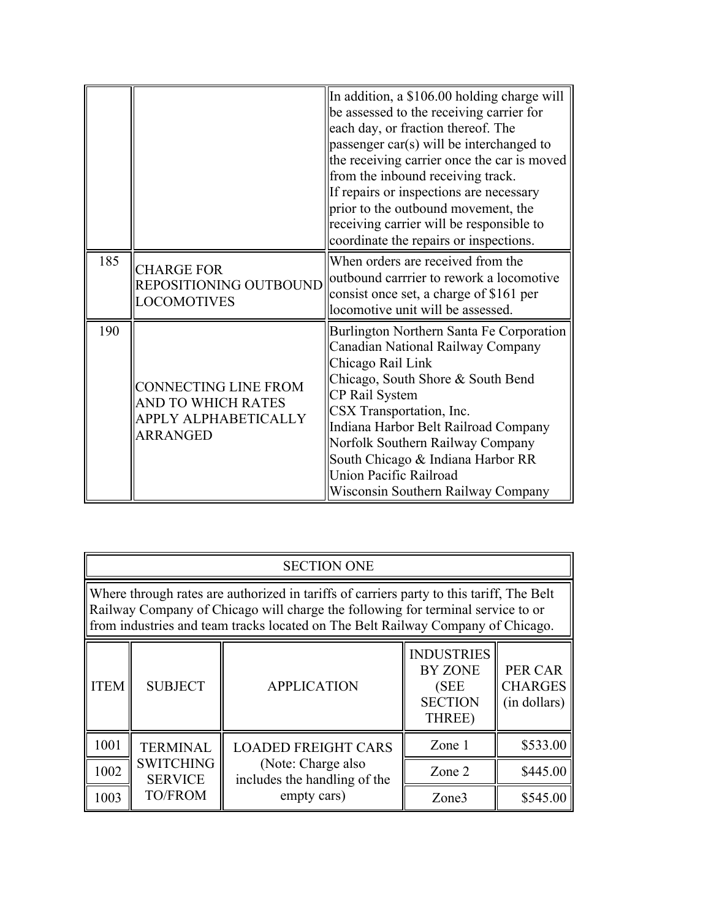|     |                                                                                       | In addition, a \$106.00 holding charge will<br>be assessed to the receiving carrier for<br>each day, or fraction thereof. The<br>passenger car(s) will be interchanged to<br>the receiving carrier once the car is moved<br>from the inbound receiving track.<br>If repairs or inspections are necessary<br>prior to the outbound movement, the<br>receiving carrier will be responsible to<br>coordinate the repairs or inspections. |
|-----|---------------------------------------------------------------------------------------|---------------------------------------------------------------------------------------------------------------------------------------------------------------------------------------------------------------------------------------------------------------------------------------------------------------------------------------------------------------------------------------------------------------------------------------|
| 185 | <b>CHARGE FOR</b><br>REPOSITIONING OUTBOUND<br><b>LOCOMOTIVES</b>                     | When orders are received from the<br>outbound carrrier to rework a locomotive<br>consist once set, a charge of \$161 per<br>locomotive unit will be assessed.                                                                                                                                                                                                                                                                         |
| 190 | <b>CONNECTING LINE FROM</b><br>AND TO WHICH RATES<br>APPLY ALPHABETICALLY<br>ARRANGED | Burlington Northern Santa Fe Corporation<br>Canadian National Railway Company<br>Chicago Rail Link<br>Chicago, South Shore & South Bend<br>CP Rail System<br>CSX Transportation, Inc.<br>Indiana Harbor Belt Railroad Company<br>Norfolk Southern Railway Company<br>South Chicago & Indiana Harbor RR<br>Union Pacific Railroad<br>Wisconsin Southern Railway Company                                                                |

|                                                                                                                                                                                                                                                                | <b>SECTION ONE</b>                                                                                                                                                  |                                                    |        |          |
|----------------------------------------------------------------------------------------------------------------------------------------------------------------------------------------------------------------------------------------------------------------|---------------------------------------------------------------------------------------------------------------------------------------------------------------------|----------------------------------------------------|--------|----------|
| Where through rates are authorized in tariffs of carriers party to this tariff. The Belt<br>Railway Company of Chicago will charge the following for terminal service to or<br>from industries and team tracks located on The Belt Railway Company of Chicago. |                                                                                                                                                                     |                                                    |        |          |
| <b>ITEM</b>                                                                                                                                                                                                                                                    | <b>INDUSTRIES</b><br><b>BY ZONE</b><br><b>PER CAR</b><br><b>CHARGES</b><br><b>SUBJECT</b><br><b>APPLICATION</b><br>(SEE<br><b>SECTION</b><br>(in dollars)<br>THREE) |                                                    |        |          |
| 1001                                                                                                                                                                                                                                                           | <b>TERMINAL</b>                                                                                                                                                     | <b>LOADED FREIGHT CARS</b>                         | Zone 1 | \$533.00 |
| 1002                                                                                                                                                                                                                                                           | <b>SWITCHING</b><br><b>SERVICE</b>                                                                                                                                  | (Note: Charge also<br>includes the handling of the | Zone 2 | \$445.00 |
| 1003                                                                                                                                                                                                                                                           | <b>TO/FROM</b>                                                                                                                                                      | empty cars)                                        | Zone3  | \$545.00 |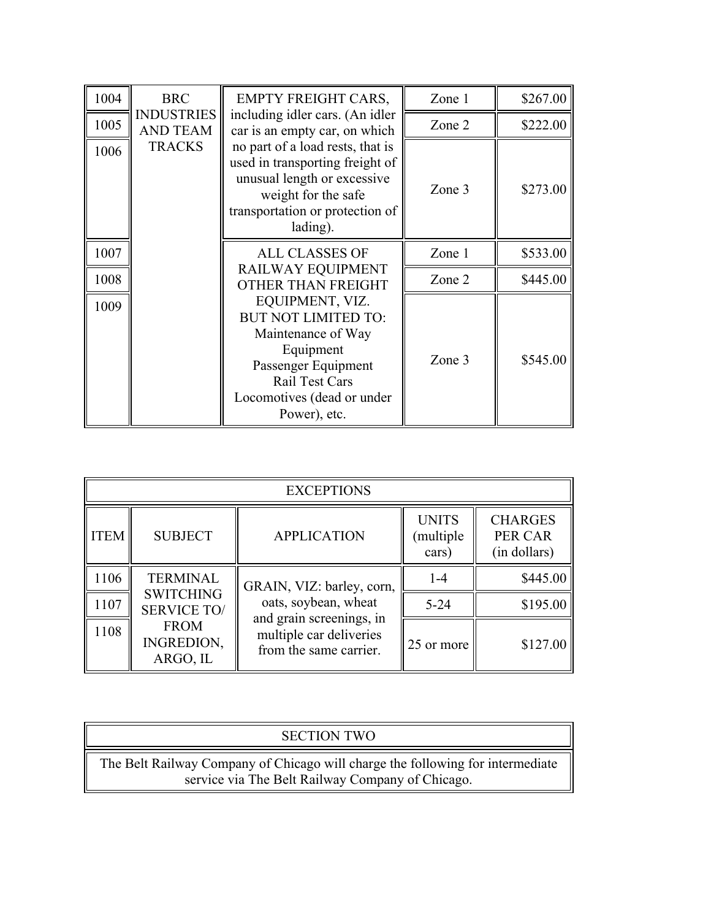| 1004 | <b>BRC</b>                           | <b>EMPTY FREIGHT CARS,</b>                                                                                                                                                     | Zone 1 | \$267.00 |
|------|--------------------------------------|--------------------------------------------------------------------------------------------------------------------------------------------------------------------------------|--------|----------|
| 1005 | <b>INDUSTRIES</b><br><b>AND TEAM</b> | including idler cars. (An idler<br>car is an empty car, on which                                                                                                               | Zone 2 | \$222.00 |
| 1006 | <b>TRACKS</b>                        | no part of a load rests, that is<br>used in transporting freight of<br>unusual length or excessive<br>weight for the safe<br>transportation or protection of<br>lading).       | Zone 3 | \$273.00 |
| 1007 |                                      | <b>ALL CLASSES OF</b>                                                                                                                                                          | Zone 1 | \$533.00 |
| 1008 |                                      | RAILWAY EQUIPMENT<br>OTHER THAN FREIGHT                                                                                                                                        | Zone 2 | \$445.00 |
| 1009 |                                      | EQUIPMENT, VIZ.<br><b>BUT NOT LIMITED TO:</b><br>Maintenance of Way<br>Equipment<br>Passenger Equipment<br><b>Rail Test Cars</b><br>Locomotives (dead or under<br>Power), etc. | Zone 3 | \$545.00 |

|             | <b>EXCEPTIONS</b>                      |                                                                               |                                    |                                           |
|-------------|----------------------------------------|-------------------------------------------------------------------------------|------------------------------------|-------------------------------------------|
| <b>ITEM</b> | <b>SUBJECT</b>                         | <b>APPLICATION</b>                                                            | <b>UNITS</b><br>multiple)<br>cars) | <b>CHARGES</b><br>PER CAR<br>(in dollars) |
| 1106        | <b>TERMINAL</b>                        | GRAIN, VIZ: barley, corn,                                                     | $1 - 4$                            | \$445.00                                  |
| 1107        | <b>SWITCHING</b><br><b>SERVICE TO/</b> | oats, soybean, wheat                                                          | $5 - 24$                           | \$195.00                                  |
| 1108        | <b>FROM</b><br>INGREDION,<br>ARGO, IL  | and grain screenings, in<br>multiple car deliveries<br>from the same carrier. | 25 or more                         | \$127.00                                  |

| <b>SECTION TWO</b>                                                                                                                 |  |
|------------------------------------------------------------------------------------------------------------------------------------|--|
| The Belt Railway Company of Chicago will charge the following for intermediate<br>service via The Belt Railway Company of Chicago. |  |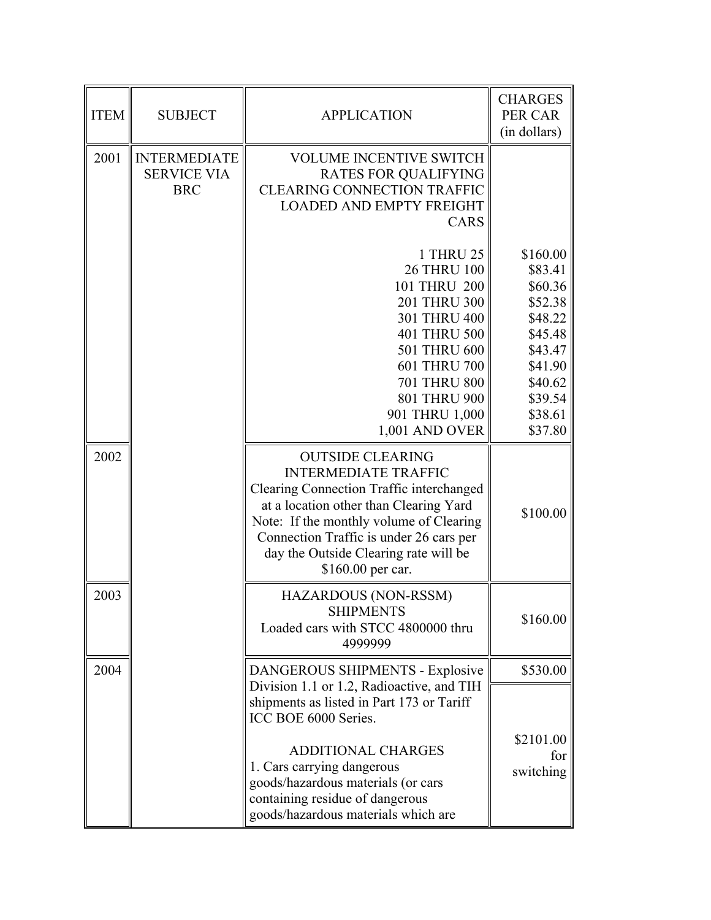| <b>ITEM</b> | <b>SUBJECT</b>                                          | <b>APPLICATION</b>                                                                                                                                                                                                                                                                               | <b>CHARGES</b><br>PER CAR<br>(in dollars)                                                                                         |
|-------------|---------------------------------------------------------|--------------------------------------------------------------------------------------------------------------------------------------------------------------------------------------------------------------------------------------------------------------------------------------------------|-----------------------------------------------------------------------------------------------------------------------------------|
| 2001        | <b>INTERMEDIATE</b><br><b>SERVICE VIA</b><br><b>BRC</b> | <b>VOLUME INCENTIVE SWITCH</b><br><b>RATES FOR QUALIFYING</b><br><b>CLEARING CONNECTION TRAFFIC</b><br><b>LOADED AND EMPTY FREIGHT</b><br><b>CARS</b>                                                                                                                                            |                                                                                                                                   |
|             |                                                         | <b>1 THRU 25</b><br><b>26 THRU 100</b><br>101 THRU 200<br>201 THRU 300<br>301 THRU 400<br>401 THRU 500<br>501 THRU 600<br>601 THRU 700<br><b>701 THRU 800</b><br>801 THRU 900<br>901 THRU 1,000<br>1,001 AND OVER                                                                                | \$160.00<br>\$83.41<br>\$60.36<br>\$52.38<br>\$48.22<br>\$45.48<br>\$43.47<br>\$41.90<br>\$40.62<br>\$39.54<br>\$38.61<br>\$37.80 |
| 2002        |                                                         | <b>OUTSIDE CLEARING</b><br><b>INTERMEDIATE TRAFFIC</b><br>Clearing Connection Traffic interchanged<br>at a location other than Clearing Yard<br>Note: If the monthly volume of Clearing<br>Connection Traffic is under 26 cars per<br>day the Outside Clearing rate will be<br>\$160.00 per car. | \$100.00                                                                                                                          |
| 2003        |                                                         | <b>HAZARDOUS (NON-RSSM)</b><br><b>SHIPMENTS</b><br>Loaded cars with STCC 4800000 thru<br>4999999                                                                                                                                                                                                 | \$160.00                                                                                                                          |
| 2004        |                                                         | DANGEROUS SHIPMENTS - Explosive<br>Division 1.1 or 1.2, Radioactive, and TIH<br>shipments as listed in Part 173 or Tariff<br>ICC BOE 6000 Series.                                                                                                                                                | \$530.00                                                                                                                          |
|             |                                                         | <b>ADDITIONAL CHARGES</b><br>1. Cars carrying dangerous<br>goods/hazardous materials (or cars<br>containing residue of dangerous<br>goods/hazardous materials which are                                                                                                                          | \$2101.00<br>for<br>switching                                                                                                     |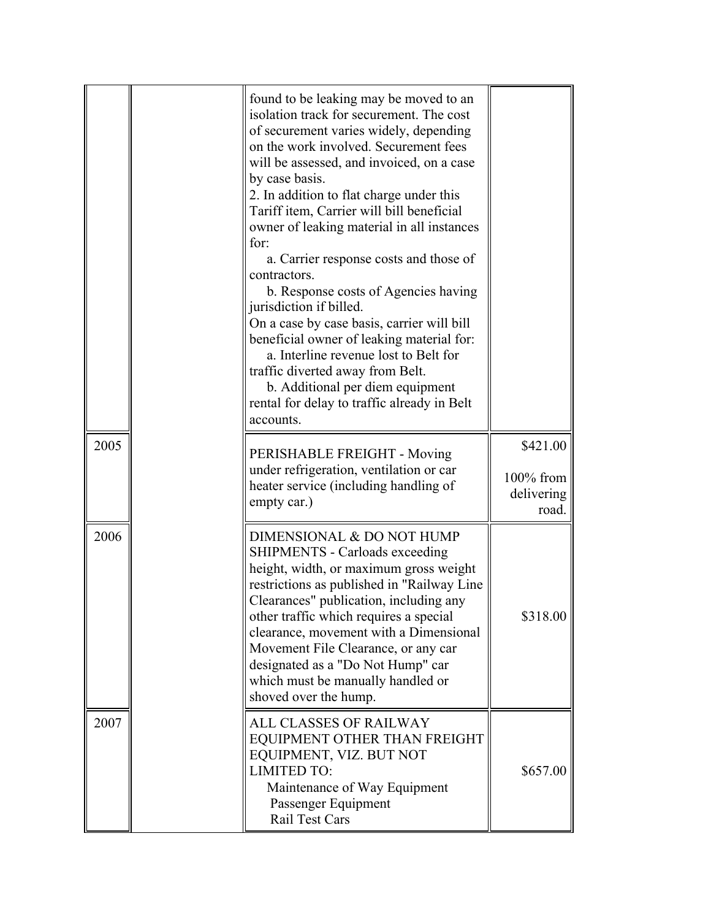|      | found to be leaking may be moved to an<br>isolation track for securement. The cost<br>of securement varies widely, depending<br>on the work involved. Securement fees<br>will be assessed, and invoiced, on a case<br>by case basis.<br>2. In addition to flat charge under this<br>Tariff item, Carrier will bill beneficial<br>owner of leaking material in all instances<br>for:<br>a. Carrier response costs and those of<br>contractors.<br>b. Response costs of Agencies having<br>jurisdiction if billed.<br>On a case by case basis, carrier will bill<br>beneficial owner of leaking material for:<br>a. Interline revenue lost to Belt for<br>traffic diverted away from Belt.<br>b. Additional per diem equipment<br>rental for delay to traffic already in Belt<br>accounts. |                                              |
|------|------------------------------------------------------------------------------------------------------------------------------------------------------------------------------------------------------------------------------------------------------------------------------------------------------------------------------------------------------------------------------------------------------------------------------------------------------------------------------------------------------------------------------------------------------------------------------------------------------------------------------------------------------------------------------------------------------------------------------------------------------------------------------------------|----------------------------------------------|
| 2005 | PERISHABLE FREIGHT - Moving<br>under refrigeration, ventilation or car<br>heater service (including handling of<br>empty car.)                                                                                                                                                                                                                                                                                                                                                                                                                                                                                                                                                                                                                                                           | \$421.00<br>100% from<br>delivering<br>road. |
| 2006 | DIMENSIONAL & DO NOT HUMP<br><b>SHIPMENTS - Carloads exceeding</b><br>height, width, or maximum gross weight<br>restrictions as published in "Railway Line<br>Clearances" publication, including any<br>other traffic which requires a special<br>clearance, movement with a Dimensional<br>Movement File Clearance, or any car<br>designated as a "Do Not Hump" car<br>which must be manually handled or<br>shoved over the hump.                                                                                                                                                                                                                                                                                                                                                       | \$318.00                                     |
| 2007 | ALL CLASSES OF RAILWAY<br>EQUIPMENT OTHER THAN FREIGHT<br>EQUIPMENT, VIZ. BUT NOT<br><b>LIMITED TO:</b><br>Maintenance of Way Equipment<br>Passenger Equipment<br>Rail Test Cars                                                                                                                                                                                                                                                                                                                                                                                                                                                                                                                                                                                                         | \$657.00                                     |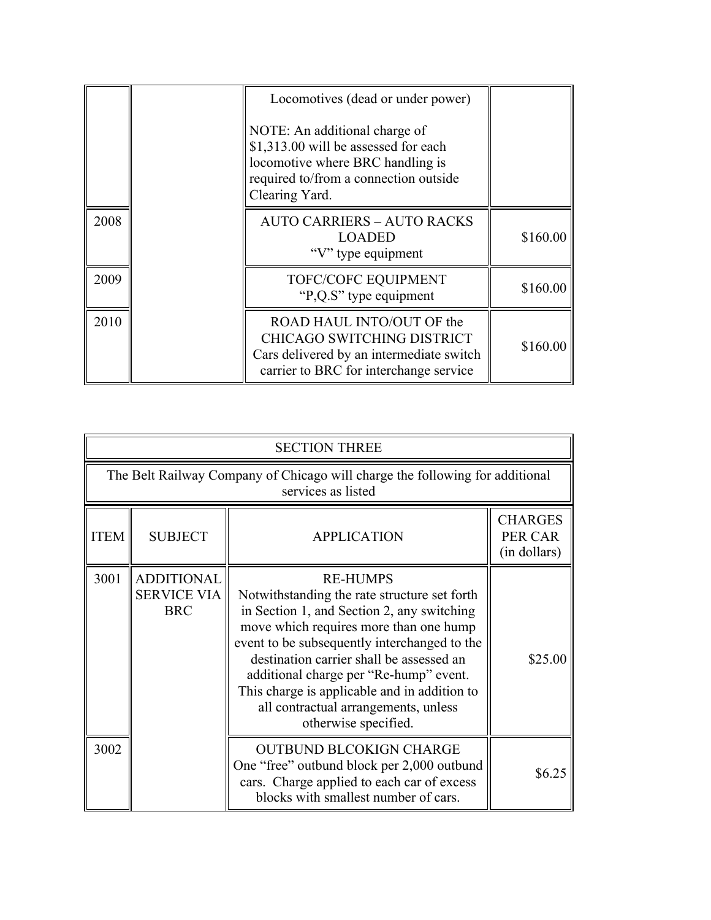|      | Locomotives (dead or under power)<br>NOTE: An additional charge of<br>\$1,313.00 will be assessed for each<br>locomotive where BRC handling is<br>required to/from a connection outside<br>Clearing Yard. |          |
|------|-----------------------------------------------------------------------------------------------------------------------------------------------------------------------------------------------------------|----------|
| 2008 | <b>AUTO CARRIERS - AUTO RACKS</b><br><b>LOADED</b><br>"V" type equipment                                                                                                                                  | \$160.00 |
| 2009 | TOFC/COFC EQUIPMENT<br>"P,Q.S" type equipment                                                                                                                                                             | \$160.00 |
| 2010 | ROAD HAUL INTO/OUT OF the<br><b>CHICAGO SWITCHING DISTRICT</b><br>Cars delivered by an intermediate switch<br>carrier to BRC for interchange service                                                      | \$160.00 |

|             | <b>SECTION THREE</b>                                  |                                                                                                                                                                                                                                                                                                                                                                                                               |                                           |  |
|-------------|-------------------------------------------------------|---------------------------------------------------------------------------------------------------------------------------------------------------------------------------------------------------------------------------------------------------------------------------------------------------------------------------------------------------------------------------------------------------------------|-------------------------------------------|--|
|             |                                                       | The Belt Railway Company of Chicago will charge the following for additional<br>services as listed                                                                                                                                                                                                                                                                                                            |                                           |  |
| <b>ITEM</b> | <b>SUBJECT</b>                                        | <b>APPLICATION</b>                                                                                                                                                                                                                                                                                                                                                                                            | <b>CHARGES</b><br>PER CAR<br>(in dollars) |  |
| 3001        | <b>ADDITIONAL</b><br><b>SERVICE VIA</b><br><b>BRC</b> | <b>RE-HUMPS</b><br>Notwithstanding the rate structure set forth<br>in Section 1, and Section 2, any switching<br>move which requires more than one hump<br>event to be subsequently interchanged to the<br>destination carrier shall be assessed an<br>additional charge per "Re-hump" event.<br>This charge is applicable and in addition to<br>all contractual arrangements, unless<br>otherwise specified. | \$25.00                                   |  |
| 3002        |                                                       | <b>OUTBUND BLCOKIGN CHARGE</b><br>One "free" outbund block per 2,000 outbund<br>cars. Charge applied to each car of excess<br>blocks with smallest number of cars.                                                                                                                                                                                                                                            | \$6.25                                    |  |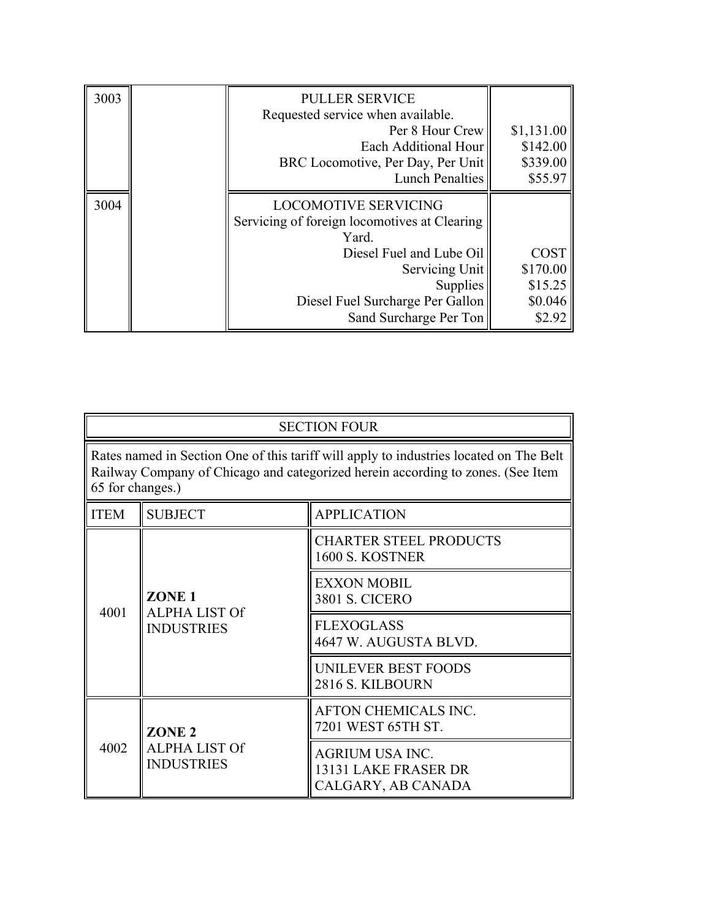| 3003 | <b>PULLER SERVICE</b>                        |             |
|------|----------------------------------------------|-------------|
|      | Requested service when available.            |             |
|      | Per 8 Hour Crew                              | \$1,131.00  |
|      | Each Additional Hour                         | \$142.00    |
|      | BRC Locomotive, Per Day, Per Unit            | \$339.00    |
|      | <b>Lunch Penalties</b>                       | \$55.97     |
| 3004 | <b>LOCOMOTIVE SERVICING</b>                  |             |
|      | Servicing of foreign locomotives at Clearing |             |
|      | Yard.                                        |             |
|      | Diesel Fuel and Lube Oil                     | <b>COST</b> |
|      | Servicing Unit                               | \$170.00    |
|      | Supplies                                     | \$15.25     |
|      | Diesel Fuel Surcharge Per Gallon             | \$0.046     |
|      | Sand Surcharge Per Ton                       | \$2.92      |

| <b>SECTION FOUR</b>                                                                                                                                                                           |                                                                |                                                                      |  |
|-----------------------------------------------------------------------------------------------------------------------------------------------------------------------------------------------|----------------------------------------------------------------|----------------------------------------------------------------------|--|
| Rates named in Section One of this tariff will apply to industries located on The Belt<br>Railway Company of Chicago and categorized herein according to zones. (See Item<br>65 for changes.) |                                                                |                                                                      |  |
| <b>ITEM</b>                                                                                                                                                                                   | <b>SUBJECT</b><br><b>APPLICATION</b>                           |                                                                      |  |
|                                                                                                                                                                                               | ZONE <sub>1</sub><br><b>ALPHA LIST Of</b><br><b>INDUSTRIES</b> | <b>CHARTER STEEL PRODUCTS</b><br>1600 S. KOSTNER                     |  |
| 4001                                                                                                                                                                                          |                                                                | <b>EXXON MOBIL</b><br><b>3801 S. CICERO</b>                          |  |
|                                                                                                                                                                                               |                                                                | <b>FLEXOGLASS</b><br>4647 W. AUGUSTA BLVD.                           |  |
|                                                                                                                                                                                               |                                                                | UNILEVER BEST FOODS<br>2816 S. KILBOURN                              |  |
| 4002                                                                                                                                                                                          | ZONE <sub>2</sub>                                              | AFTON CHEMICALS INC.<br>7201 WEST 65TH ST.                           |  |
|                                                                                                                                                                                               | <b>ALPHA LIST Of</b><br><b>INDUSTRIES</b>                      | <b>AGRIUM USA INC.</b><br>13131 LAKE FRASER DR<br>CALGARY, AB CANADA |  |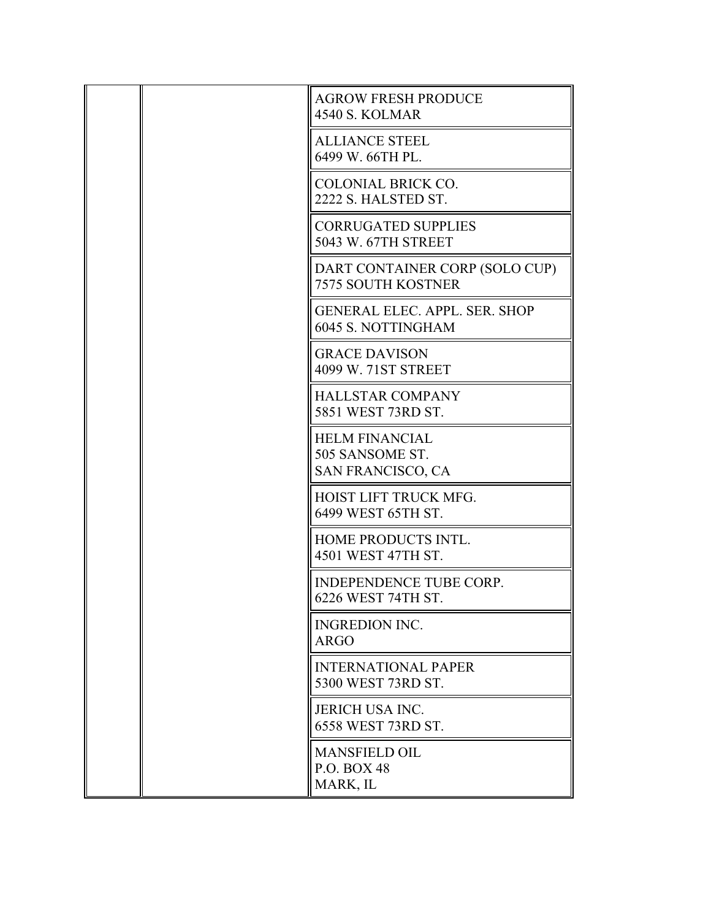|  | <b>AGROW FRESH PRODUCE</b><br><b>4540 S. KOLMAR</b>                  |
|--|----------------------------------------------------------------------|
|  | <b>ALLIANCE STEEL</b><br>6499 W. 66TH PL.                            |
|  | <b>COLONIAL BRICK CO.</b><br>2222 S. HALSTED ST.                     |
|  | <b>CORRUGATED SUPPLIES</b><br>5043 W. 67TH STREET                    |
|  | DART CONTAINER CORP (SOLO CUP)<br><b>7575 SOUTH KOSTNER</b>          |
|  | <b>GENERAL ELEC. APPL. SER. SHOP</b><br>6045 S. NOTTINGHAM           |
|  | <b>GRACE DAVISON</b><br>4099 W. 71ST STREET                          |
|  | <b>HALLSTAR COMPANY</b><br>5851 WEST 73RD ST.                        |
|  | <b>HELM FINANCIAL</b><br>505 SANSOME ST.<br><b>SAN FRANCISCO, CA</b> |
|  | HOIST LIFT TRUCK MFG.<br>6499 WEST 65TH ST.                          |
|  | HOME PRODUCTS INTL.<br>4501 WEST 47TH ST.                            |
|  | INDEPENDENCE TUBE CORP.<br>6226 WEST 74TH ST.                        |
|  | <b>INGREDION INC.</b><br><b>ARGO</b>                                 |
|  | <b>INTERNATIONAL PAPER</b><br>5300 WEST 73RD ST.                     |
|  | <b>JERICH USA INC.</b><br>6558 WEST 73RD ST.                         |
|  | <b>MANSFIELD OIL</b><br>P.O. BOX 48<br>MARK, IL                      |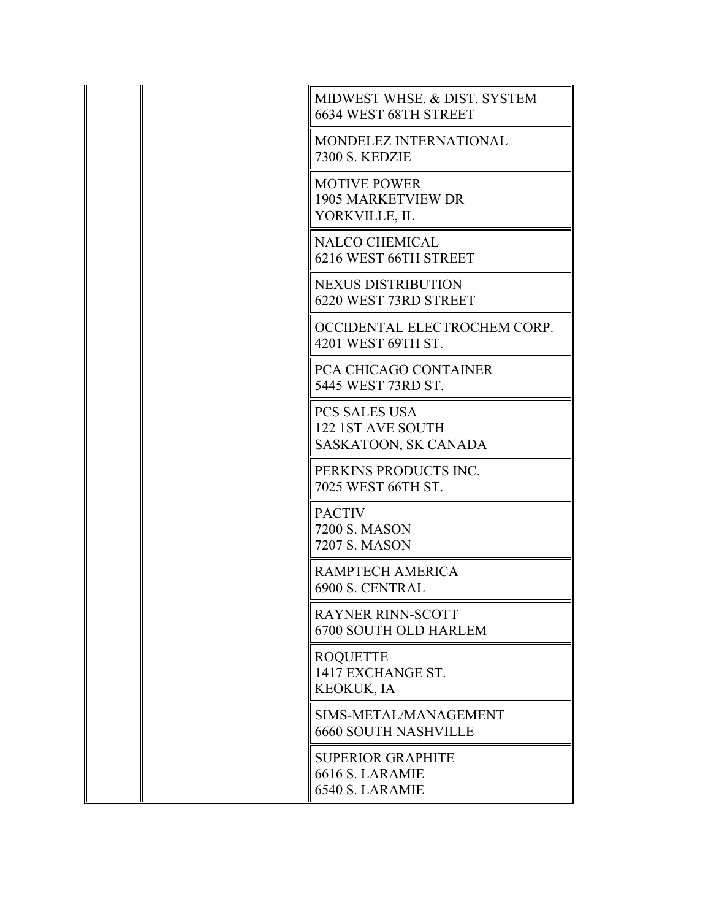|  | MIDWEST WHSE, & DIST, SYSTEM<br>6634 WEST 68TH STREET             |
|--|-------------------------------------------------------------------|
|  | MONDELEZ INTERNATIONAL<br><b>7300 S. KEDZIE</b>                   |
|  | <b>MOTIVE POWER</b><br><b>1905 MARKETVIEW DR</b><br>YORKVILLE, IL |
|  | <b>NALCO CHEMICAL</b><br>6216 WEST 66TH STREET                    |
|  | <b>NEXUS DISTRIBUTION</b><br>6220 WEST 73RD STREET                |
|  | OCCIDENTAL ELECTROCHEM CORP.<br>4201 WEST 69TH ST.                |
|  | PCA CHICAGO CONTAINER<br>5445 WEST 73RD ST.                       |
|  | <b>PCS SALES USA</b><br>122 1ST AVE SOUTH<br>SASKATOON, SK CANADA |
|  | PERKINS PRODUCTS INC.<br>7025 WEST 66TH ST.                       |
|  | <b>PACTIV</b><br>7200 S. MASON<br>7207 S. MASON                   |
|  | RAMPTECH AMERICA<br>6900 S. CENTRAL                               |
|  | <b>RAYNER RINN-SCOTT</b><br>6700 SOUTH OLD HARLEM                 |
|  | <b>ROQUETTE</b><br>1417 EXCHANGE ST.<br><b>KEOKUK, IA</b>         |
|  | SIMS-METAL/MANAGEMENT<br><b>6660 SOUTH NASHVILLE</b>              |
|  | <b>SUPERIOR GRAPHITE</b><br>6616 S. LARAMIE<br>6540 S. LARAMIE    |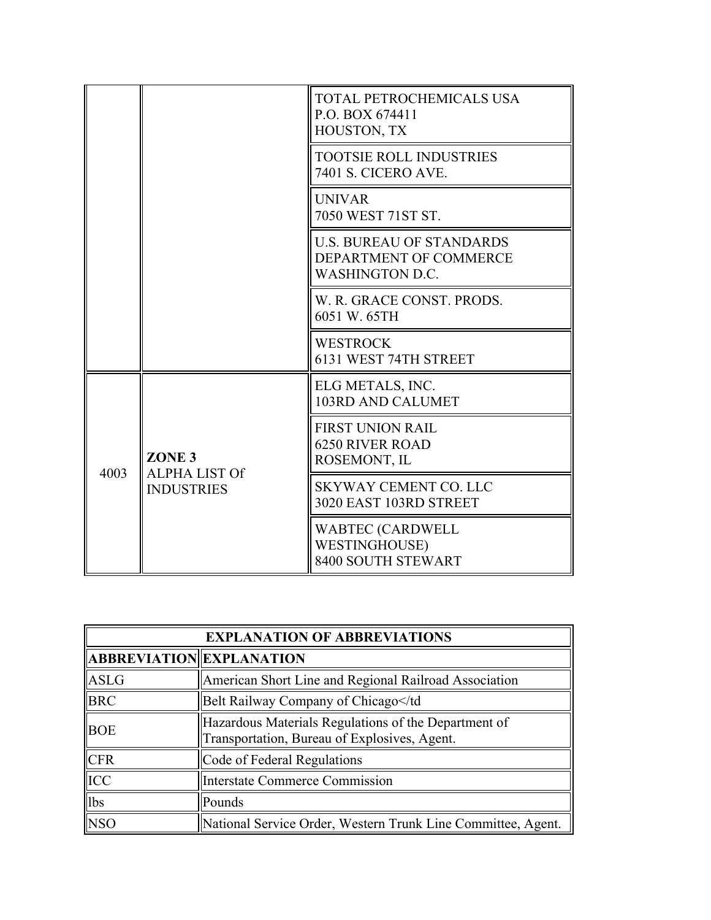|      |                                                                | TOTAL PETROCHEMICALS USA<br>P.O. BOX 674411<br>HOUSTON, TX                          |
|------|----------------------------------------------------------------|-------------------------------------------------------------------------------------|
|      |                                                                | <b>TOOTSIE ROLL INDUSTRIES</b><br><b>7401 S. CICERO AVE.</b>                        |
|      |                                                                | <b>UNIVAR</b><br>7050 WEST 71ST ST.                                                 |
|      |                                                                | <b>U.S. BUREAU OF STANDARDS</b><br>DEPARTMENT OF COMMERCE<br><b>WASHINGTON D.C.</b> |
|      |                                                                | W. R. GRACE CONST. PRODS.<br>6051 W. 65TH                                           |
|      |                                                                | <b>WESTROCK</b><br>6131 WEST 74TH STREET                                            |
| 4003 | ZONE <sub>3</sub><br><b>ALPHA LIST Of</b><br><b>INDUSTRIES</b> | ELG METALS, INC.<br>103RD AND CALUMET                                               |
|      |                                                                | <b>FIRST UNION RAIL</b><br><b>6250 RIVER ROAD</b><br>ROSEMONT, IL                   |
|      |                                                                | <b>SKYWAY CEMENT CO. LLC</b><br>3020 EAST 103RD STREET                              |
|      |                                                                | <b>WABTEC (CARDWELL</b><br><b>WESTINGHOUSE)</b><br>8400 SOUTH STEWART               |

| <b>EXPLANATION OF ABBREVIATIONS</b> |                                                                                                      |  |
|-------------------------------------|------------------------------------------------------------------------------------------------------|--|
| <b>ABBREVIATION EXPLANATION</b>     |                                                                                                      |  |
| ASLG                                | American Short Line and Regional Railroad Association                                                |  |
| <b>BRC</b>                          | Belt Railway Company of Chicago                                                                      |  |
| <b>BOE</b>                          | Hazardous Materials Regulations of the Department of<br>Transportation, Bureau of Explosives, Agent. |  |
| <b>CFR</b>                          | Code of Federal Regulations                                                                          |  |
| ICC                                 | Interstate Commerce Commission                                                                       |  |
| lbs                                 | Pounds                                                                                               |  |
| <b>NSO</b>                          | National Service Order, Western Trunk Line Committee, Agent.                                         |  |